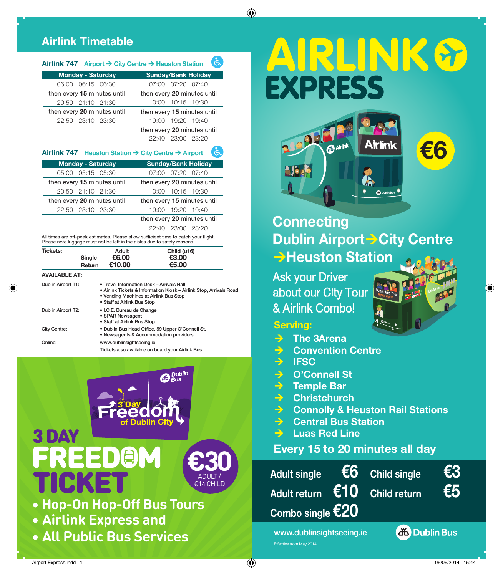# **Airlink Timetable**

#### ંદ **Airlink 747 Airport → City Centre → Heuston Station**

| <b>Monday - Saturday</b>    | <b>Sunday/Bank Holiday</b>  |  |  |
|-----------------------------|-----------------------------|--|--|
| 06:15 06:30<br>06:00        | 07:00 07:20 07:40           |  |  |
| then every 15 minutes until | then every 20 minutes until |  |  |
| 20:50 21:10 21:30           | 10:00 10:15 10:30           |  |  |
|                             | then every 15 minutes until |  |  |
| then every 20 minutes until |                             |  |  |
| 22:50 23:10 23:30           | 19:00 19:20 19:40           |  |  |
|                             | then every 20 minutes until |  |  |

### **Airlink 747 Heuston Station → City Centre → Airport**

| <b>Monday - Saturday</b>    | <b>Sunday/Bank Holiday</b>  |  |  |
|-----------------------------|-----------------------------|--|--|
| 05:00 05:15 05:30           | 07:00 07:20 07:40           |  |  |
| then every 15 minutes until | then every 20 minutes until |  |  |
| 20:50 21:10 21:30           | 10:00 10:15 10:30           |  |  |
| then every 20 minutes until | then every 15 minutes until |  |  |
| 22:50 23:10 23:30           | 19:00 19:20 19:40           |  |  |
|                             | then every 20 minutes until |  |  |
|                             | 23:00 23:20<br>22:40        |  |  |

All times are off-peak estimates. Please allow sufficient time to catch your flight. Please note luggage must not be left in the aisles due to safety reasons.

| <b>Tickets:</b>      | Single<br>Return | Adult<br>€6.00<br>€10.00                                                                                           | Child (u16)<br>€3.00<br>€5.00                                       |  |  |
|----------------------|------------------|--------------------------------------------------------------------------------------------------------------------|---------------------------------------------------------------------|--|--|
| <b>AVAILABLE AT:</b> |                  |                                                                                                                    |                                                                     |  |  |
| Dublin Airport T1:   |                  | • Travel Information Desk - Arrivals Hall<br>• Vending Machines at Airlink Bus Stop<br>• Staff at Airlink Bus Stop | • Airlink Tickets & Information Kiosk - Airlink Stop, Arrivals Road |  |  |
| Dublin Airport T2:   |                  | • I.C.E. Bureau de Change<br>• SPAR Newsagent<br>• Staff at Airlink Bus Stop                                       |                                                                     |  |  |
| City Centre:         |                  | . Dublin Bus Head Office, 59 Upper O'Connell St.<br>• Newsagents & Accommodation providers                         |                                                                     |  |  |
| Online:              |                  | www.dublinsightseeing.ie                                                                                           | Tickets also available on board vour Airlink Bus                    |  |  |



**• All Public Bus Services**

# AIRLINK& **EXPRESS**



**Connecting Dublin Airport > City Centre → Heuston Station** 

Ask your Driver about our City Tour & Airlink Combo!

### **Serving:**

◈

- $→$  **The 3 Arena**
- **→ Convention Centre**
- **→ IFSC**

Effective from May 2014

- → O'Connell St
- **→ Temple Bar**
- **→ Christchurch**
- **B** Connolly & Heuston Rail Stations
- **→ Central Bus Station**
- **→ Luas Red Line**

## **Every 15 to 20 minutes all day**





⊕